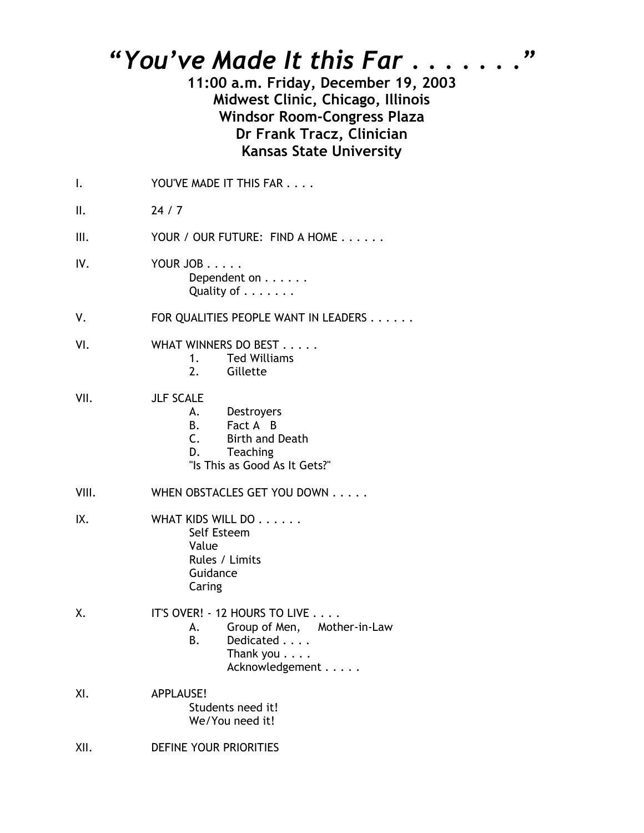## *"You've Made It this Far . . . . . . ."*

**11:00 a.m. Friday, December 19, 2003 Midwest Clinic, Chicago, Illinois Windsor Room-Congress Plaza Dr Frank Tracz, Clinician Kansas State University** 

| I.    | YOU'VE MADE IT THIS FAR                                                                                                              |
|-------|--------------------------------------------------------------------------------------------------------------------------------------|
| ΙΙ.   | 24/7                                                                                                                                 |
| Ш.    | YOUR / OUR FUTURE: FIND A HOME                                                                                                       |
| IV.   | YOUR JOB<br>Dependent on<br>Quality of                                                                                               |
| ٧.    | FOR QUALITIES PEOPLE WANT IN LEADERS                                                                                                 |
| VI.   | WHAT WINNERS DO BEST<br>1. Ted Williams<br>2. Gillette                                                                               |
| VII.  | <b>JLF SCALE</b><br>A. Destroyers<br><b>B.</b><br>Fact A B<br>C. Birth and Death<br>D. Teaching<br>"Is This as Good As It Gets?"     |
| VIII. | WHEN OBSTACLES GET YOU DOWN                                                                                                          |
| IX.   | WHAT KIDS WILL DO<br>Self Esteem<br>Value<br>Rules / Limits<br>Guidance<br>Caring                                                    |
| Χ.    | IT'S OVER! - 12 HOURS TO LIVE<br>A. Group of Men, Mother-in-Law<br>Dedicated<br><b>B.</b><br>Thank you $\ldots$ .<br>Acknowledgement |
| XI.   | APPLAUSE!<br>Students need it!<br>We/You need it!                                                                                    |

XII. DEFINE YOUR PRIORITIES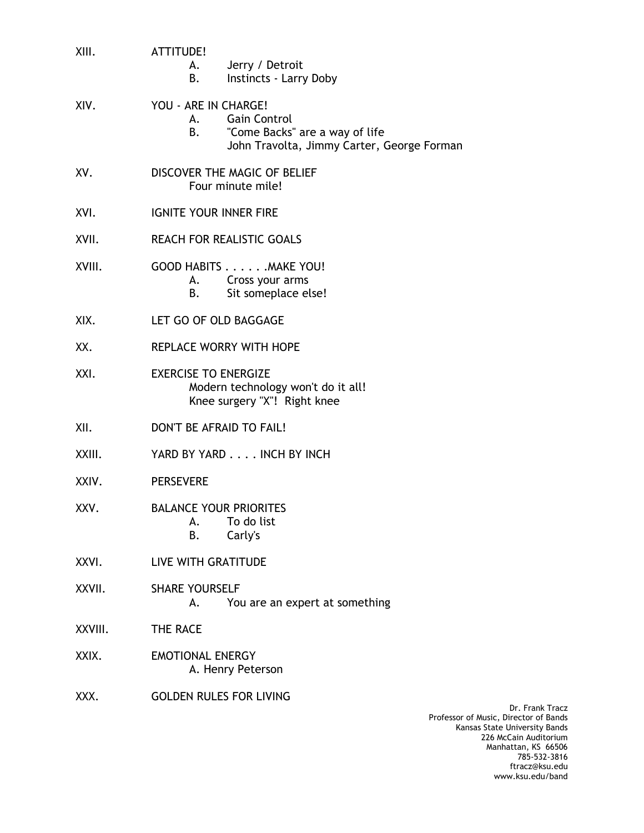| XIII.   | ATTITUDE!<br>Jerry / Detroit<br>A. <b>A.</b><br>Instincts - Larry Doby<br>B.                                                             |
|---------|------------------------------------------------------------------------------------------------------------------------------------------|
| XIV.    | YOU - ARE IN CHARGE!<br><b>Gain Control</b><br>А.<br>"Come Backs" are a way of life<br>B.,<br>John Travolta, Jimmy Carter, George Forman |
| XV.     | DISCOVER THE MAGIC OF BELIEF<br>Four minute mile!                                                                                        |
| XVI.    | <b>IGNITE YOUR INNER FIRE</b>                                                                                                            |
| XVII.   | <b>REACH FOR REALISTIC GOALS</b>                                                                                                         |
| XVIII.  | GOOD HABITS MAKE YOU!<br>A. Cross your arms<br>Sit someplace else!<br>В.                                                                 |
| XIX.    | LET GO OF OLD BAGGAGE                                                                                                                    |
| XX.     | <b>REPLACE WORRY WITH HOPE</b>                                                                                                           |
| XXI.    | <b>EXERCISE TO ENERGIZE</b><br>Modern technology won't do it all!<br>Knee surgery "X"! Right knee                                        |
| XII.    | DON'T BE AFRAID TO FAIL!                                                                                                                 |
| XXIII.  | YARD BY YARD INCH BY INCH                                                                                                                |
| XXIV.   | <b>PERSEVERE</b>                                                                                                                         |
| XXV.    | <b>BALANCE YOUR PRIORITES</b><br>To do list<br>А.<br>Carly's<br>В.                                                                       |
| XXVI.   | LIVE WITH GRATITUDE                                                                                                                      |
| XXVII.  | <b>SHARE YOURSELF</b><br>You are an expert at something<br>А.                                                                            |
| XXVIII. | THE RACE                                                                                                                                 |
| XXIX.   | <b>EMOTIONAL ENERGY</b><br>A. Henry Peterson                                                                                             |
| XXX.    | <b>GOLDEN RULES FOR LIVING</b>                                                                                                           |
|         | Professor of                                                                                                                             |

Dr. Frank Tracz Professor of Music, Director of Bands Kansas State University Bands 226 McCain Auditorium Manhattan, KS 66506 785-532-3816 ftracz@ksu.edu www.ksu.edu/band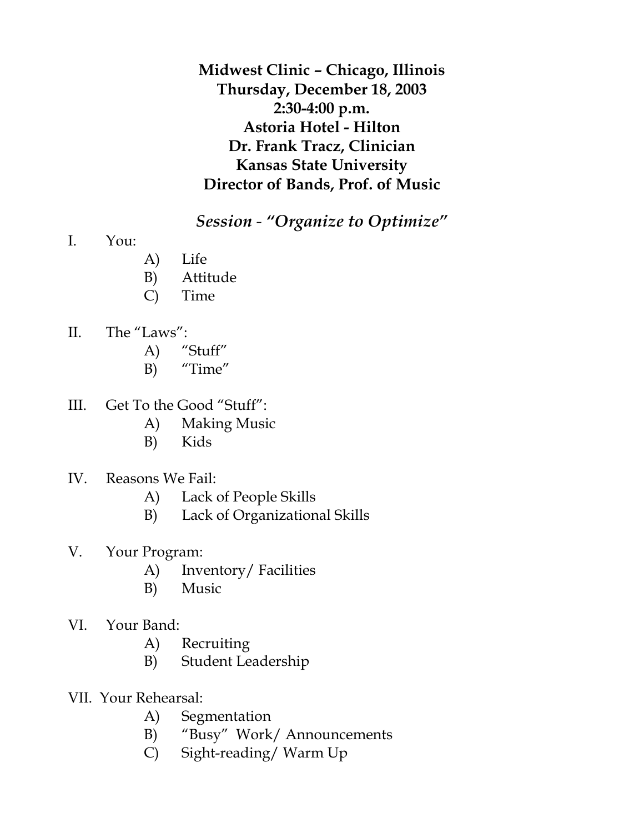**Midwest Clinic – Chicago, Illinois Thursday, December 18, 2003 2:30-4:00 p.m. Astoria Hotel - Hilton Dr. Frank Tracz, Clinician Kansas State University Director of Bands, Prof. of Music**

*Session - "Organize to Optimize"*

- I. You:
- A) Life
- B) Attitude
- C) Time
- II. The "Laws":
	- A) "Stuff"
	- B) "Time"
- III. Get To the Good "Stuff":
	- A) Making Music
	- B) Kids
- IV. Reasons We Fail:
	- A) Lack of People Skills
	- B) Lack of Organizational Skills
- V. Your Program:
	- A) Inventory/ Facilities
	- B) Music
- VI. Your Band:
	- A) Recruiting
	- B) Student Leadership
- VII. Your Rehearsal:
	- A) Segmentation
	- B) "Busy" Work/ Announcements
	- C) Sight-reading/ Warm Up